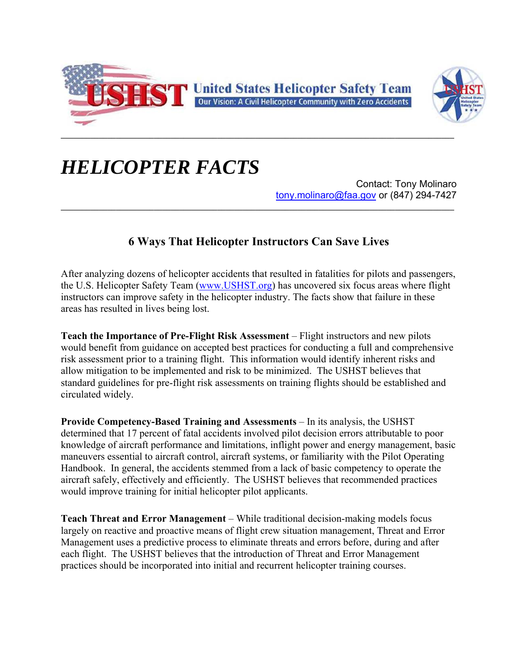



## *HELICOPTER FACTS*

Contact: Tony Molinaro tony.molinaro@faa.gov or (847) 294-7427

## **6 Ways That Helicopter Instructors Can Save Lives**

After analyzing dozens of helicopter accidents that resulted in fatalities for pilots and passengers, the U.S. Helicopter Safety Team (www.USHST.org) has uncovered six focus areas where flight instructors can improve safety in the helicopter industry. The facts show that failure in these areas has resulted in lives being lost.

**Teach the Importance of Pre-Flight Risk Assessment** – Flight instructors and new pilots would benefit from guidance on accepted best practices for conducting a full and comprehensive risk assessment prior to a training flight. This information would identify inherent risks and allow mitigation to be implemented and risk to be minimized. The USHST believes that standard guidelines for pre-flight risk assessments on training flights should be established and circulated widely.

**Provide Competency-Based Training and Assessments** – In its analysis, the USHST determined that 17 percent of fatal accidents involved pilot decision errors attributable to poor knowledge of aircraft performance and limitations, inflight power and energy management, basic maneuvers essential to aircraft control, aircraft systems, or familiarity with the Pilot Operating Handbook. In general, the accidents stemmed from a lack of basic competency to operate the aircraft safely, effectively and efficiently. The USHST believes that recommended practices would improve training for initial helicopter pilot applicants.

**Teach Threat and Error Management** – While traditional decision-making models focus largely on reactive and proactive means of flight crew situation management, Threat and Error Management uses a predictive process to eliminate threats and errors before, during and after each flight. The USHST believes that the introduction of Threat and Error Management practices should be incorporated into initial and recurrent helicopter training courses.